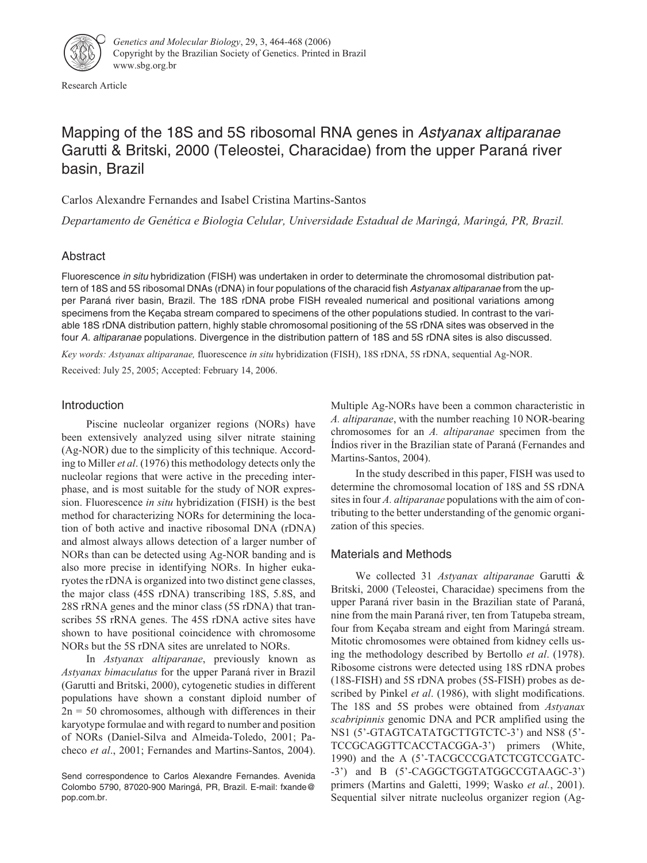

Research Article

# Mapping of the 18S and 5S ribosomal RNA genes in Astyanax altiparanae Garutti & Britski, 2000 (Teleostei, Characidae) from the upper Paraná river basin, Brazil

Carlos Alexandre Fernandes and Isabel Cristina Martins-Santos

*Departamento de Genética e Biologia Celular, Universidade Estadual de Maringá, Maringá, PR, Brazil.*

## Abstract

Fluorescence in situ hybridization (FISH) was undertaken in order to determinate the chromosomal distribution pattern of 18S and 5S ribosomal DNAs (rDNA) in four populations of the characid fish Astyanax altiparanae from the upper Paraná river basin, Brazil. The 18S rDNA probe FISH revealed numerical and positional variations among specimens from the Keçaba stream compared to specimens of the other populations studied. In contrast to the variable 18S rDNA distribution pattern, highly stable chromosomal positioning of the 5S rDNA sites was observed in the four A. altiparanae populations. Divergence in the distribution pattern of 18S and 5S rDNA sites is also discussed.

*Key words: Astyanax altiparanae,* fluorescence *in situ* hybridization (FISH), 18S rDNA, 5S rDNA, sequential Ag-NOR. Received: July 25, 2005; Accepted: February 14, 2006.

## Introduction

Piscine nucleolar organizer regions (NORs) have been extensively analyzed using silver nitrate staining (Ag-NOR) due to the simplicity of this technique. According to Miller *et al*. (1976) this methodology detects only the nucleolar regions that were active in the preceding interphase, and is most suitable for the study of NOR expression. Fluorescence *in situ* hybridization (FISH) is the best method for characterizing NORs for determining the location of both active and inactive ribosomal DNA (rDNA) and almost always allows detection of a larger number of NORs than can be detected using Ag-NOR banding and is also more precise in identifying NORs. In higher eukaryotes the rDNA is organized into two distinct gene classes, the major class (45S rDNA) transcribing 18S, 5.8S, and 28S rRNA genes and the minor class (5S rDNA) that transcribes 5S rRNA genes. The 45S rDNA active sites have shown to have positional coincidence with chromosome NORs but the 5S rDNA sites are unrelated to NORs.

In *Astyanax altiparanae*, previously known as *Astyanax bimaculatus* for the upper Paraná river in Brazil (Garutti and Britski, 2000), cytogenetic studies in different populations have shown a constant diploid number of  $2n = 50$  chromosomes, although with differences in their karyotype formulae and with regard to number and position of NORs (Daniel-Silva and Almeida-Toledo, 2001; Pacheco *et al*., 2001; Fernandes and Martins-Santos, 2004).

Multiple Ag-NORs have been a common characteristic in *A. altiparanae*, with the number reaching 10 NOR-bearing chromosomes for an *A. altiparanae* specimen from the Índios river in the Brazilian state of Paraná (Fernandes and Martins-Santos, 2004).

In the study described in this paper, FISH was used to determine the chromosomal location of 18S and 5S rDNA sites in four *A. altiparanae* populations with the aim of contributing to the better understanding of the genomic organization of this species.

## Materials and Methods

We collected 31 *Astyanax altiparanae* Garutti & Britski, 2000 (Teleostei, Characidae) specimens from the upper Paraná river basin in the Brazilian state of Paraná, nine from the main Paraná river, ten from Tatupeba stream, four from Keçaba stream and eight from Maringá stream. Mitotic chromosomes were obtained from kidney cells using the methodology described by Bertollo *et al*. (1978). Ribosome cistrons were detected using 18S rDNA probes (18S-FISH) and 5S rDNA probes (5S-FISH) probes as described by Pinkel *et al*. (1986), with slight modifications. The 18S and 5S probes were obtained from *Astyanax scabripinnis* genomic DNA and PCR amplified using the NS1 (5'-GTAGTCATATGCTTGTCTC-3') and NS8 (5'- TCCGCAGGTTCACCTACGGA-3') primers (White, 1990) and the A (5'-TACGCCCGATCTCGTCCGATC- -3') and B (5'-CAGGCTGGTATGGCCGTAAGC-3') primers (Martins and Galetti, 1999; Wasko *et al.*, 2001). Sequential silver nitrate nucleolus organizer region (Ag-

Send correspondence to Carlos Alexandre Fernandes. Avenida Colombo 5790, 87020-900 Maringá, PR, Brazil. E-mail: fxande@ pop.com.br.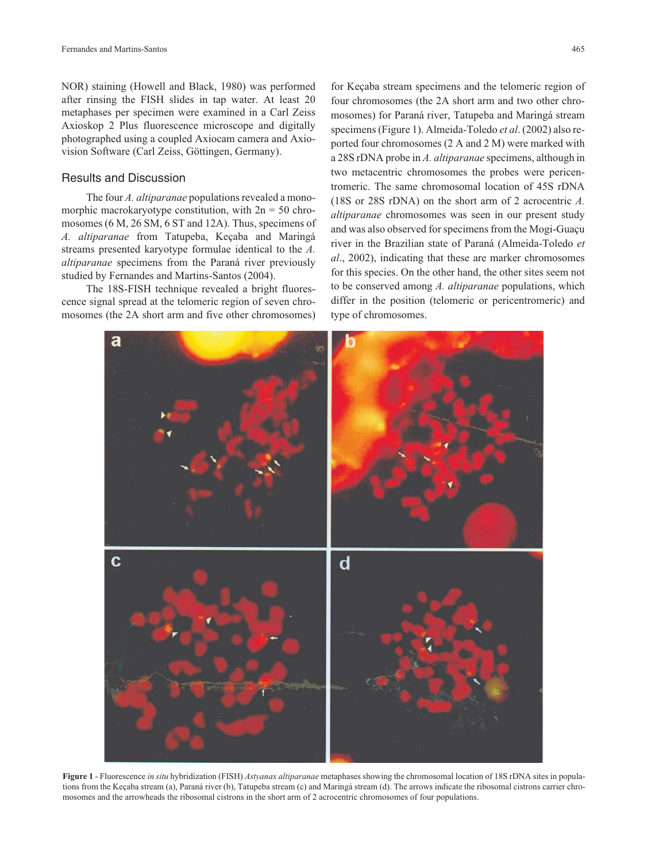NOR) staining (Howell and Black, 1980) was performed after rinsing the FISH slides in tap water. At least 20 metaphases per specimen were examined in a Carl Zeiss Axioskop 2 Plus fluorescence microscope and digitally photographed using a coupled Axiocam camera and Axiovision Software (Carl Zeiss, Göttingen, Germany).

#### Results and Discussion

The four *A. altiparanae* populations revealed a monomorphic macrokaryotype constitution, with  $2n = 50$  chromosomes (6 M, 26 SM, 6 ST and 12A). Thus, specimens of *A. altiparanae* from Tatupeba, Keçaba and Maringá streams presented karyotype formulae identical to the *A. altiparanae* specimens from the Paraná river previously studied by Fernandes and Martins-Santos (2004).

The 18S-FISH technique revealed a bright fluorescence signal spread at the telomeric region of seven chromosomes (the 2A short arm and five other chromosomes)

for Keçaba stream specimens and the telomeric region of four chromosomes (the 2A short arm and two other chromosomes) for Paraná river, Tatupeba and Maringá stream specimens (Figure 1). Almeida-Toledo *et al*. (2002) also reported four chromosomes (2 A and 2 M) were marked with a 28S rDNA probe in *A. altiparanae* specimens, although in two metacentric chromosomes the probes were pericentromeric. The same chromosomal location of 45S rDNA (18S or 28S rDNA) on the short arm of 2 acrocentric *A. altiparanae* chromosomes was seen in our present study and was also observed for specimens from the Mogi-Guaçu river in the Brazilian state of Paraná (Almeida-Toledo *et al*., 2002), indicating that these are marker chromosomes for this species. On the other hand, the other sites seem not to be conserved among *A. altiparanae* populations, which differ in the position (telomeric or pericentromeric) and type of chromosomes.



**Figure 1** - Fluorescence *in situ* hybridization (FISH) *Astyanax altiparanae* metaphases showing the chromosomal location of 18S rDNA sites in populations from the Keçaba stream (a), Paraná river (b), Tatupeba stream (c) and Maringá stream (d). The arrows indicate the ribosomal cistrons carrier chromosomes and the arrowheads the ribosomal cistrons in the short arm of 2 acrocentric chromosomes of four populations.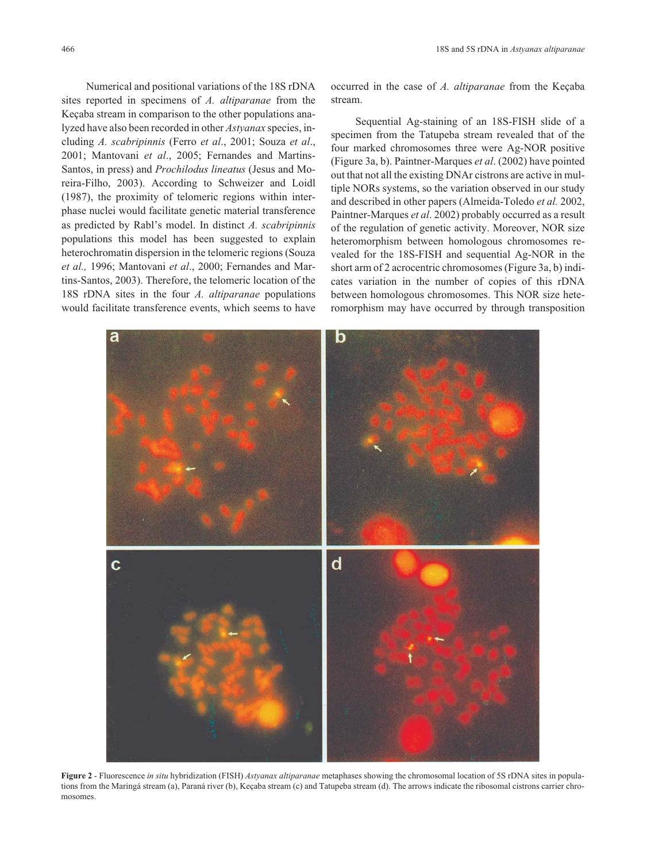Numerical and positional variations of the 18S rDNA sites reported in specimens of *A. altiparanae* from the Keçaba stream in comparison to the other populations analyzed have also been recorded in other *Astyanax* species, including *A. scabripinnis* (Ferro *et al*., 2001; Souza *et al*., 2001; Mantovani *et al*., 2005; Fernandes and Martins-Santos, in press) and *Prochilodus lineatus* (Jesus and Moreira-Filho, 2003). According to Schweizer and Loidl (1987), the proximity of telomeric regions within interphase nuclei would facilitate genetic material transference as predicted by Rabl's model. In distinct *A. scabripinnis* populations this model has been suggested to explain heterochromatin dispersion in the telomeric regions (Souza *et al.,* 1996; Mantovani *et al*., 2000; Fernandes and Martins-Santos, 2003). Therefore, the telomeric location of the 18S rDNA sites in the four *A. altiparanae* populations would facilitate transference events, which seems to have occurred in the case of *A. altiparanae* from the Keçaba stream.

Sequential Ag-staining of an 18S-FISH slide of a specimen from the Tatupeba stream revealed that of the four marked chromosomes three were Ag-NOR positive (Figure 3a, b). Paintner-Marques *et al*. (2002) have pointed out that not all the existing DNAr cistrons are active in multiple NORs systems, so the variation observed in our study and described in other papers (Almeida-Toledo *et al.* 2002, Paintner-Marques *et al*. 2002) probably occurred as a result of the regulation of genetic activity. Moreover, NOR size heteromorphism between homologous chromosomes revealed for the 18S-FISH and sequential Ag-NOR in the short arm of 2 acrocentric chromosomes (Figure 3a, b) indicates variation in the number of copies of this rDNA between homologous chromosomes. This NOR size heteromorphism may have occurred by through transposition



**Figure 2** - Fluorescence *in situ* hybridization (FISH) *Astyanax altiparanae* metaphases showing the chromosomal location of 5S rDNA sites in populations from the Maringá stream (a), Paraná river (b), Keçaba stream (c) and Tatupeba stream (d). The arrows indicate the ribosomal cistrons carrier chromosomes.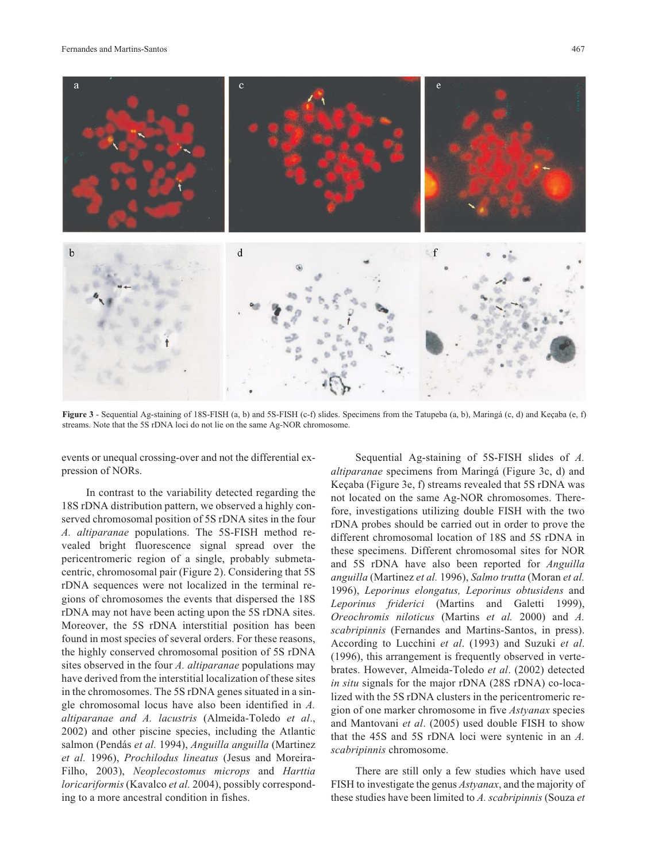

**Figure 3** - Sequential Ag-staining of 18S-FISH (a, b) and 5S-FISH (c-f) slides. Specimens from the Tatupeba (a, b), Maringá (c, d) and Keçaba (e, f) streams. Note that the 5S rDNA loci do not lie on the same Ag-NOR chromosome.

events or unequal crossing-over and not the differential expression of NORs.

In contrast to the variability detected regarding the 18S rDNA distribution pattern, we observed a highly conserved chromosomal position of 5S rDNA sites in the four *A. altiparanae* populations. The 5S-FISH method revealed bright fluorescence signal spread over the pericentromeric region of a single, probably submetacentric, chromosomal pair (Figure 2). Considering that 5S rDNA sequences were not localized in the terminal regions of chromosomes the events that dispersed the 18S rDNA may not have been acting upon the 5S rDNA sites. Moreover, the 5S rDNA interstitial position has been found in most species of several orders. For these reasons, the highly conserved chromosomal position of 5S rDNA sites observed in the four *A. altiparanae* populations may have derived from the interstitial localization of these sites in the chromosomes. The 5S rDNA genes situated in a single chromosomal locus have also been identified in *A. altiparanae and A. lacustris* (Almeida-Toledo *et al*., 2002) and other piscine species, including the Atlantic salmon (Pendás *et al.* 1994), *Anguilla anguilla* (Martinez *et al.* 1996), *Prochilodus lineatus* (Jesus and Moreira-Filho, 2003), *Neoplecostomus microps* and *Harttia loricariformis* (Kavalco *et al.* 2004), possibly corresponding to a more ancestral condition in fishes.

Sequential Ag-staining of 5S-FISH slides of *A. altiparanae* specimens from Maringá (Figure 3c, d) and Keçaba (Figure 3e, f) streams revealed that 5S rDNA was not located on the same Ag-NOR chromosomes. Therefore, investigations utilizing double FISH with the two rDNA probes should be carried out in order to prove the different chromosomal location of 18S and 5S rDNA in these specimens. Different chromosomal sites for NOR and 5S rDNA have also been reported for *Anguilla anguilla* (Martinez *et al.* 1996), *Salmo trutta* (Moran *et al.* 1996), *Leporinus elongatus, Leporinus obtusidens* and *Leporinus friderici* (Martins and Galetti 1999), *Oreochromis niloticus* (Martins *et al.* 2000) and *A. scabripinnis* (Fernandes and Martins-Santos, in press). According to Lucchini *et al*. (1993) and Suzuki *et al*. (1996), this arrangement is frequently observed in vertebrates. However, Almeida-Toledo *et al*. (2002) detected *in situ* signals for the major rDNA (28S rDNA) co-localized with the 5S rDNA clusters in the pericentromeric region of one marker chromosome in five *Astyanax* species and Mantovani *et al*. (2005) used double FISH to show that the 45S and 5S rDNA loci were syntenic in an *A. scabripinnis* chromosome.

There are still only a few studies which have used FISH to investigate the genus *Astyanax*, and the majority of these studies have been limited to *A. scabripinnis* (Souza *et*